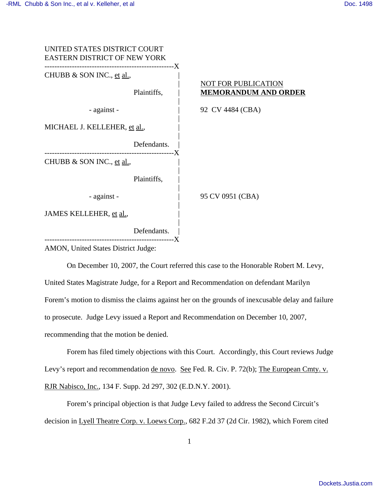

On December 10, 2007, the Court referred this case to the Honorable Robert M. Levy, United States Magistrate Judge, for a Report and Recommendation on defendant Marilyn Forem's motion to dismiss the claims against her on the grounds of inexcusable delay and failure to prosecute. Judge Levy issued a Report and Recommendation on December 10, 2007, recommending that the motion be denied.

Forem has filed timely objections with this Court. Accordingly, this Court reviews Judge Levy's report and recommendation <u>de novo. See</u> Fed. R. Civ. P. 72(b); The European Cmty. v. RJR Nabisco, Inc., 134 F. Supp. 2d 297, 302 (E.D.N.Y. 2001).

Forem's principal objection is that Judge Levy failed to address the Second Circuit's decision in Lyell Theatre Corp. v. Loews Corp., 682 F.2d 37 (2d Cir. 1982), which Forem cited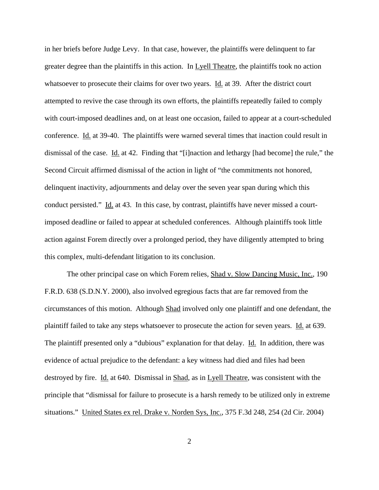in her briefs before Judge Levy. In that case, however, the plaintiffs were delinquent to far greater degree than the plaintiffs in this action. In Lyell Theatre, the plaintiffs took no action whatsoever to prosecute their claims for over two years. Id. at 39. After the district court attempted to revive the case through its own efforts, the plaintiffs repeatedly failed to comply with court-imposed deadlines and, on at least one occasion, failed to appear at a court-scheduled conference. Id. at 39-40. The plaintiffs were warned several times that inaction could result in dismissal of the case. Id. at 42. Finding that "[i]naction and lethargy [had become] the rule," the Second Circuit affirmed dismissal of the action in light of "the commitments not honored, delinquent inactivity, adjournments and delay over the seven year span during which this conduct persisted." Id. at 43. In this case, by contrast, plaintiffs have never missed a courtimposed deadline or failed to appear at scheduled conferences. Although plaintiffs took little action against Forem directly over a prolonged period, they have diligently attempted to bring this complex, multi-defendant litigation to its conclusion.

The other principal case on which Forem relies, Shad v. Slow Dancing Music, Inc., 190 F.R.D. 638 (S.D.N.Y. 2000), also involved egregious facts that are far removed from the circumstances of this motion. Although Shad involved only one plaintiff and one defendant, the plaintiff failed to take any steps whatsoever to prosecute the action for seven years. Id. at 639. The plaintiff presented only a "dubious" explanation for that delay. Id. In addition, there was evidence of actual prejudice to the defendant: a key witness had died and files had been destroyed by fire. Id. at 640. Dismissal in Shad, as in Lyell Theatre, was consistent with the principle that "dismissal for failure to prosecute is a harsh remedy to be utilized only in extreme situations." United States ex rel. Drake v. Norden Sys, Inc., 375 F.3d 248, 254 (2d Cir. 2004)

2